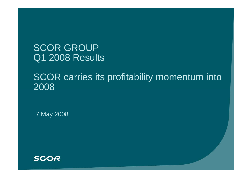SCOR GROUP Q1 2008 Results

# SCOR carries its profitability momentum into 2008

7 May 2008

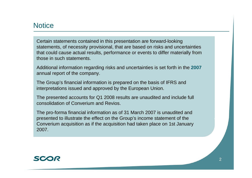#### **Notice**

Certain statements contained in this presentation are forward-looking statements, of necessity provisional, that are based on risks and uncertainties that could cause actual results, performance or events to differ materially from those in such statements.

Additional information regarding risks and uncertainties is set forth in the **2007**  annual report of the company.

The Group's financial information is prepared on the basis of IFRS and interpretations issued and approved by the European Union.

The presented accounts for Q1 2008 results are unaudited and include full consolidation of Converium and Revios.

The pro-forma financial information as of 31 March 2007 is unaudited and presented to illustrate the effect on the Group's income statement of the Converium acquisition as if the acquisition had taken place on 1st January 2007.

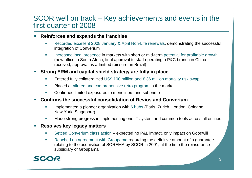#### SCOR well on track – Key achievements and events in the first quarter of 2008

- $\mathcal{L}_{\mathcal{A}}$  **Reinforces and expands the franchise**
	- ×. Recorded excellent 2008 January & April Non-Life renewals, demonstrating the successful integration of Converium
	- × Increased local presence in markets with short or mid-term potential for profitable growth (new office in South Africa, final approval to start operating a P&C branch in China received, approval as admitted reinsurer in Brazil)
- $\mathcal{L}_{\mathcal{A}}$  **Strong ERM and capital shield strategy are fully in place**
	- г Entered fully collateralized US\$ 100 million and  $\epsilon$  36 million mortality risk swap
	- $\mathcal{C}^{\mathcal{A}}$ Placed a tailored and comprehensive retro program in the market
	- $\overline{\phantom{a}}$ Confirmed limited exposures to monoliners and subprime
- $\mathcal{L}_{\mathcal{A}}$  **Confirms the successful consolidation of Revios and Converium**
	- n. Implemented a pioneer organization with 6 hubs (Paris, Zurich, London, Cologne, New York, Singapore)
	- г Made strong progress in implementing one IT system and common tools across all entities
- $\mathcal{L}_{\mathcal{A}}$  **Resolves key legacy matters**
	- $\Box$ ■ Settled Converium class action – expected no P&L impact, only impact on Goodwill
	- $\overline{\phantom{a}}$  Reached an agreement with Groupama regarding the definitive amount of a guarantee relating to the acquisition of SOREMA by SCOR in 2001, at the time the reinsurance subsidiary of Groupama

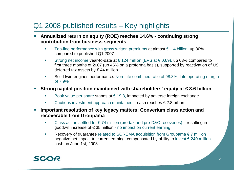# Q1 2008 published results – Key highlights

- **Annualized return on equity (ROE) reaches 14.6% - continuing strong contribution from business segments**
	- $\overline{\mathcal{M}}$ Top-line performance with gross written premiums at almost  $\epsilon$  1.4 billion, up 30% compared to published Q1 2007
	- $\mathbf{r}$ Strong net income year-to-date at  $\in$  124 million (EPS at  $\in$  0.69), up 63% compared to first three months of 2007 (up 46% on a proforma basis), supported by reactivation of US deferred tax assets by € 44 million
	- $\mathcal{L}_{\mathcal{A}}$  Solid twin-engines performance: Non-Life combined ratio of 98.8%, Life operating margin of 7.9%
- $\mathcal{L}_{\mathcal{A}}$  **Strong capital position maintained with shareholders' equity at € 3.6 billion**
	- $\mathcal{L}_{\mathcal{A}}$ Book value per share stands at  $\epsilon$  19.8, impacted by adverse foreign exchange
	- П Cautious investment approach maintained – cash reaches  $\epsilon$  2.8 billion
- **Important resolution of key legacy matters: Converium class action and recoverable from Groupama**
	- $\overline{\mathcal{M}}$ Class action settled for  $\epsilon$  74 million (pre-tax and pre-D&O recoveries) – resulting in goodwill increase of € 35 million - no impact on current earning
	- $\overline{\mathcal{M}}$  Recovery of guarantee related to SOREMA acquisition from Groupama € 7 million negative net impact to current earning, compensated by ability to invest  $\epsilon$  240 million cash on June 1st, 2008

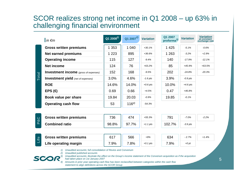#### SCOR realizes strong net income in Q1 2008 – up 63% in challenging financial environment

| in $\epsilon$ m                                           | $Q1 2008^{1}$ | $Q1 2007^{2}$ | <b>Variation</b> | Q1 2007<br>proforma <sup>3)</sup> | <b>Variation</b> | <b>Variation</b><br>at constant<br>exchange rate |
|-----------------------------------------------------------|---------------|---------------|------------------|-----------------------------------|------------------|--------------------------------------------------|
| <b>Gross written premiums</b>                             | 1 3 5 3       | 1 0 4 0       | $+30.1%$         | 1 4 2 5                           | $-5.1%$          | $-0.6%$                                          |
| Net earned premiums                                       | 1 2 2 3       | 895           | $+36.6%$         | 1 2 6 3                           | $-3.2%$          | $+2.9%$                                          |
| <b>Operating income</b>                                   | 115           | 127           | $-9.4%$          | 140                               | $-17.9%$         | $-12.1%$                                         |
| <b>Net income</b>                                         | 124           | 76            | $+63.2%$         | 85                                | +45.9%           | $+63.5%$                                         |
| <b>Investment income</b> (gross of expenses)              | 152           | 168           | $-9.5%$          | 202                               | $-24.8%$         | $-20.3%$                                         |
| <b>Total</b><br><b>Investment yield</b> (net of expenses) | 3.0%          | 4.6%          | $-1.6$ pts       | 3.9%                              | $-0.9$ pts       |                                                  |
| <b>ROE</b>                                                | 14.6%         | 14.0%         | $+0.6$ pts       | 10.0%                             | $+4.6$ pts       |                                                  |
| $EPS$ ( $\bigoplus$                                       | 0.69          | 0.66          | $+4.5%$          | 0.47                              | +46.8%           |                                                  |
| Book value per share                                      | 19.84         | 20.03         | $-0.9%$          | 19.85                             | $-0.1%$          |                                                  |
| <b>Operating cash flow</b>                                | 53            | $116^{4}$     | $-54.3%$         |                                   |                  |                                                  |
|                                                           |               |               |                  |                                   |                  |                                                  |
| <b>Gross written premiums</b><br><b>P&amp;C</b>           | 736           | 474           | $+55.3%$         | 791                               | $-7.0%$          | $-2.2%$                                          |
| <b>Combined ratio</b>                                     | 98.8%         | 97.7%         | $+1.1$ pts       | 102.7%                            | $-3.9$ pts       |                                                  |

**Life**

| Gross written premiums | 617  | 566  | $+9%$      | 634  | $-2.7%$ |
|------------------------|------|------|------------|------|---------|
| Life operating margin  | 7.9% | 7.8% | $+0.1$ pts | 7.9% | $+0$ pt |

*1) Unaudited accounts; full consolidation of Revios and Converium*

*2) Unaudited published accounts*



- *3) Unaudited accounts; illustrate the effect on the Group's income statement of the Converium acquisition as if the acquisition had taken place on 1st January 2007*
- *4) Amounts in prior year operating cash flow has been reclassified between categories within the cash flow statement to align definitions across the SCOR Group*

*+1.4%*

 *2.7%*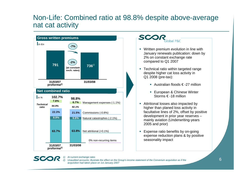#### Non-Life: Combined ratio at 98.8% despite above-average nat cat activity



#### SCO

*1) At current exchange rates*

*2) Unaudited accounts; illustrate the effect on the Group's income statement of the Converium acquisition as if the acquisition had taken place on 1st January 2007*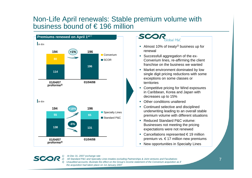#### Non-Life April renewals: Stable premium volume with business bound of € 196 million



#### SCO  $ohal$  P&C

- Almost 10% of treaty*2)* business up for renewal
- **Successfull aggregation of the ex-**Converium lines, re-affirming the client franchise on the business we wanted
- Market environment dominated by low single digit pricing reductions with some exceptions on some classes or territories
- **Competitive pricing for Wind exposures** in Caribbean, Korea and Japan with decreases up to 15%
- П Other conditions unaltered
- **Continued selective and disciplined** underwriting leading to an overall stable premium volume with different situations
- Reduced Standard P&C volume: Businesses not meeting the pricing expectations were not renewed
- Cancellations represented  $€19$  million premium vs. € 17 million new premiums
- **New opportunities in Specialty Lines**

#### *1) At Dec 31, 2007 exchange rate*

SC.

*2) All Standard P&C and Specialty Lines treaties excluding Partnerships & Joint ventures and Facultatives 3) Unaudited accounts; illustrate the effect on the Group's income statement of the Converium acquisition as if the acquisition had taken place on 1st January 2007*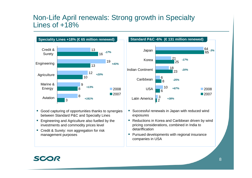#### Non-Life April renewals: Strong growth in Specialty Lines of  $+18%$



- Good capturing of opportunities thanks to synergies between Standard P&C and Specialty Lines
- **Engineering and Agriculture also fuelled by the** investments and commodity prices level
- **Credit & Surety: non aggregation for risk** management purposes

**Standard P&C -6% (€ 131 million renewed)**



- **Successful renewals in Japan with reduced wind** exposures
- Reductions in Korea and Caribbean driven by wind pricing considerations, combined in India to detariffication
- **Pursued developments with regional insurance** companies in USA

#### **SCOR**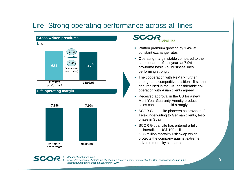### Life: Strong operating performance across all lines



#### **SCO** lobal Life

- Written premium growing by 1.4% at constant exchange rates
- Operating margin stable compared to the same quarter of last year, at 7.9%, on a pro-forma basis - all business lines performing strongly
- **The cooperation with ReMark further** strenghtens competitive position - first joint deal realised in the UK, considerable cooperation with Asian clients agreed
- Received approval in the US for a new Multi-Year Guaranty Annuity product sales continue to build strongly
- **SCOR Global Life pioneers as provider of** Tele-Underwriting to German clients, testphase in Spain
- **SCOR Global Life has entered a fully** collateralized US\$ 100 million and € 36 million mortality risk swap which protects the company against extreme adverse mortality scenarios



*1) At current exchange rates*

*2) Unaudited accounts; illustrate the effect on the Group's income statement of the Converium acquisition as if the acquisition had taken place on 1st January 2007*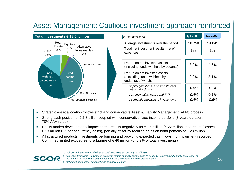# Asset Management: Cautious investment approach reinforced



- п Strategic asset allocation follows strict and conservative Asset & Liability Management (ALM) process
- п Strong cash position of € 2.8 billion coupled with conservative fixed income portfolio (3 years duration, 70% AAA rated)
- п Equity market developments impacting the results negatively for  $\epsilon$  35 million ( $\epsilon$  22 million impairment / losses, € 13 million FVI net of currency gains), partially offset by realized gains on bond portfolio of € 23 million
- $\mathcal{L}_{\mathcal{A}}$  All structured products investments performing and providing expected cash flows, no impairment recorded. Confirmed limited exposures to subprime of  $\epsilon$ 46 million (or 0.2% of total investments)

*1) Included in loans and receivables according to IFRS accounting classification*



*2) Fair value by income – includes € -20 million related to equity options used to hedge US equity linked annuity book, offset to be found in life technical result, no net impact and no impact on life operating margin 3) Including hedge funds, funds of funds and private equity*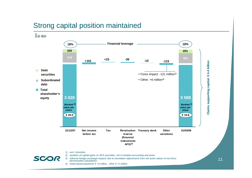### Strong capital position maintained

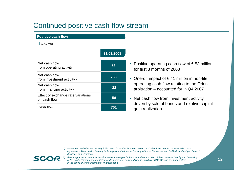### Continued positive cash flow stream

| $\ln \epsilon m$ , YTD                                              |            |
|---------------------------------------------------------------------|------------|
|                                                                     | 31/03/2008 |
| Net cash flow<br>from operating activity                            | 53         |
| Net cash flow<br>from investment activity <sup><math>1</math></sup> | 788        |
| Net cash flow<br>from financing activity <sup>2)</sup>              | $-22$      |
| Effect of exchange rate variations<br>on cash flow                  | -58        |
| Cash flow                                                           | 761        |

- Positive operating cash flow of  $\epsilon$ 53 million for first 3 months of 2008
- One-off impact of  $\in$  41 million in non-life operating cash flow relating to the Orion arbitration – accounted for in Q4 2007
- Net cash flow from investment activity driven by sale of bonds and relative capital gain realization

*1) Investment activities are the acquisition and disposal of long-term assets and other investments not included in cash equivalents. They predominantely include payments done for the acquisition of Converium and ReMark, and net purchases / disposals of investments* 



**Positive cash flow**

*2) Financing activities are activities that result in changes in the size and composition of the contributed equity and borrowings of the entity. They predominantely include increase in capital, dividends paid by SCOR SE and cash generated by issuance or reimbursement of financial debts*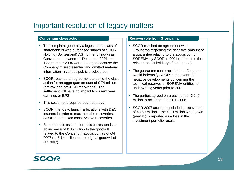### Important resolution of legacy matters

#### **Converium class action**

- The complaint generally alleges that a class of shareholders who purchased shares of SCOR Holding (Switzerland) AG, formerly known as Converium, between 11 December 2001 and 1 September 2004 were damaged because the Company misrepresented and omitted material information in various public disclosures
- SCOR reached an agreement to settle the class action for an aggregate amount of  $\epsilon$  74 million (pre-tax and pre-D&O recoveries). The settlement will have no impact to current year earnings or EPS
- This settlement requires court approval
- SCOR intends to launch arbitrations with D&O insurers in order to maximize the recoveries. SCOR has booked conservative recoveries.
- Based on this assumption, this corresponds to an increase of € 35 million to the goodwill related to the Converium acquisition as of Q4 2007 (or  $\epsilon$  14 million to the original goodwill of Q3 2007)

#### **Recoverable from Groupama**

- **SCOR reached an agreement with** Groupama regarding the definitive amount of a guarantee relating to the acquisition of SOREMA by SCOR in 2001 (at the time the reinsurance subsidiary of Groupama)
- П The guarantee contemplated that Groupama would indemnify SCOR in the event of negative developments concerning the technical reserves of SOREMA entities for underwriting years prior to 2001
- The parties agreed on a payment of  $\epsilon$  240 million to occur on June 1st, 2008
- SCOR 2007 accounts included a recoverable of € 250 million – the € 10 million write-down (pre-tax) is reported as a loss in the investment portfolio results

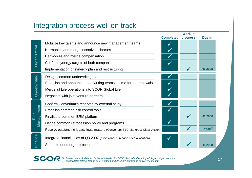#### Integration process well on track

|              |                                                                                 | <b>Completed</b> | <b>Work in</b><br>progress | Due in     |
|--------------|---------------------------------------------------------------------------------|------------------|----------------------------|------------|
|              | Mobilize key talents and announce new management teams                          |                  |                            |            |
| Organization | Harmonize and merge incentive schemes                                           | $\checkmark$     |                            |            |
|              | Harmonize and merge compensation                                                | $\checkmark$     |                            |            |
|              | Confirm synergy targets of both companies                                       | $\checkmark$     |                            |            |
|              | Implementation of synergy plan and restructuring                                |                  |                            | H1 2008    |
|              | Design common underwriting plan                                                 |                  |                            |            |
| Underwriting | Establish and announce underwriting teams in time for the renewals              |                  |                            |            |
|              | Merge all Life operations into SCOR Global Life                                 | $\checkmark$     |                            |            |
|              | Negotiate with joint venture partners                                           |                  |                            |            |
|              | Confirm Converium's reserves by external study                                  |                  |                            |            |
| Management   | Establish common risk control tools                                             |                  |                            |            |
| Risk         | Finalize a common ERM platform                                                  |                  |                            | H1 2008    |
|              | Define common retrocession policy and programs                                  |                  |                            |            |
|              | Resolve outstanding legacy legal matters (Converium SEC Matters & Class Action) |                  |                            | $2008^{1}$ |
| Finance      | Integrate financials as of Q3 2007 (provisional purchase price allocation)      | $\checkmark$     |                            |            |
|              | Squeeze out merger process                                                      |                  |                            | H1 2008    |
|              |                                                                                 |                  |                            |            |

*1) Please note - Additional disclosure provided for SCOR Switzerland Holding AG legacy litigations in the consolidated Interim Report as of September 30th, 2007 (published on www.scor.com)*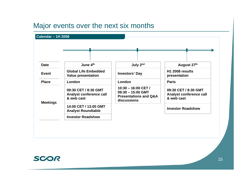#### Major events over the next six months



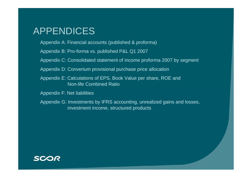# APPENDICES

- Appendix A: Financial accounts (published & proforma)
- Appendix B: Pro-forma vs. published P&L Q1 2007
- Appendix C: Consolidated statement of income proforma 2007 by segment
- Appendix D: Converium provisional purchase price allocation
- Appendix E: Calculations of EPS, Book Value per share, ROE and Non-life Combined Ratio
- Appendix F: Net liabilities
- Appendix G: Investments by IFRS accounting, unrealized gains and losses, investment income, structured products

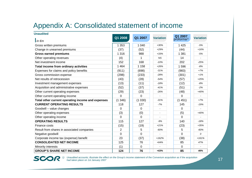### Appendix A: Consolidated statement of income

| <b>Unaudited</b>                                  |                |          |                  |                                   |                  |
|---------------------------------------------------|----------------|----------|------------------|-----------------------------------|------------------|
| $\mathsf{I}$ in $\epsilon$ m                      | Q1 2008        | Q1 2007  | <b>Variation</b> | Q1 2007<br>proforma $\frac{1}{2}$ | <b>Variation</b> |
| Gross written premiums                            | 1 3 5 3        | 1 0 4 0  | $+30%$           | 1 4 2 5                           | $-5%$            |
| Change in unearned premiums                       | (37)           | (52)     | $+29%$           | (44)                              | $+16%$           |
| <b>Gross earned premiums</b>                      | 1 3 1 6        | 988      | $+33%$           | 1 3 8 1                           | $-5%$            |
| Other operating revenues                          |                | 1        | <b>NS</b>        | 14                                |                  |
| Net investment income                             | (4)<br>152     | 168      | $-10%$           | 202                               | $-25%$           |
|                                                   |                |          | $+26%$           |                                   | $-8%$            |
| Total income from ordinary activities             | 1 4 6 4        | 1 1 5 8  |                  | 1 596                             |                  |
| Expenses for claims and policy benefits           | (911)          | (698)    | $-31%$           | (983)                             | $+7%$            |
| Gross commission expense                          | (298)          | (233)    | $-28%$           | (301)                             | $+1%$            |
| Net results of retrocession                       | (43)           | (28)     | $-54%$           | (57)                              | $+25%$           |
| Investment management expenses                    | (13)           | (11)     | $-18%$           | (12)                              | $-8%$            |
| Acquisition and administrative expenses           | (52)           | (37)     | $-41%$           | (51)                              | $-2%$            |
| Other current operating expenses                  | (29)           | (23)     | $-26%$           | (48)                              | $+40%$           |
| Other current operating income                    | $\Omega$       | $\Omega$ |                  | 0                                 |                  |
| Total other current operating income and expenses | (1346)         | (1030)   | $-31%$           | (1451)                            | $+7%$            |
| <b>CURRENT OPERATING RESULTS</b>                  | 118            | 127      | $-7%$            | 145                               | $-19%$           |
| Goodwill - value changes                          | $\Omega$       | $\Omega$ |                  | $\Omega$                          |                  |
| Other operating expenses                          | (3)            | (0)      |                  | (5)                               | +40%             |
| Other operating income                            | $\Omega$       | $\Omega$ |                  | $\Omega$                          |                  |
| <b>OPERATING RESULTS</b>                          | 115            | 127      | $-9%$            | 140                               | $-18%$           |
| Finance costs                                     | (15)           | (19)     | $+21%$           | (23)                              | $+35%$           |
| Result from shares in associated companies        | $\overline{2}$ | 5        | $-60%$           | 5                                 | $-60%$           |
| Negative goodwill                                 | $\Omega$       | $\Omega$ |                  | 0                                 | 0                |
| Corporate income tax (expense) benefit            | 23             | (37)     | $+162%$          | (38)                              | $+161%$          |
| <b>CONSOLIDATED NET INCOME</b>                    | 125            | 76       | $+64%$           | 85                                | 47%              |
| Minority interests                                | (1)            | 0        |                  | 0                                 |                  |
| <b>GROUP'S SHARE NET INCOME</b>                   | 124            | 76       | $+63%$           | 85                                | 46%              |

**SCOR** 

*1) Unaudited accounts; illustrate the effect on the Group's income statement of the Converium acquisition as if the acquisition had taken place on 1st January 2007*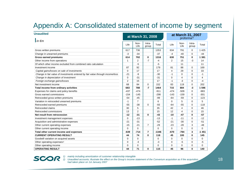## Appendix A: Consolidated statement of income by segment

| <b>Unaudited</b><br>$\ln \epsilon$                                            |                |                | at March 31, 2008 |                | at March 31, 2007<br>proforma <sup>2)</sup> |              |                 |              |  |
|-------------------------------------------------------------------------------|----------------|----------------|-------------------|----------------|---------------------------------------------|--------------|-----------------|--------------|--|
|                                                                               |                | Non-<br>Life   | Intra-<br>group   | Total          | Life                                        | Non-<br>Life | Intra-<br>group | Total        |  |
| Gross written premiums                                                        | 617            | 736            |                   | 1353           | 634                                         | 791          | 0               | 1 4 2 5      |  |
| Change in unearned premiums                                                   | $-3$           | $-34$          |                   | $-37$          | $-4$                                        | $-40$        | $\mathbf 0$     | $-44$        |  |
| <b>Gross earned premiums</b>                                                  | 614            | 702            | 0                 | 1316           | 630                                         | 751          | $\bf{0}$        | 1 3 8 1      |  |
| Other income from operations                                                  | 1              | 2              | $-7$              | $-4$           | 2                                           | 15           | $-3$            | 14           |  |
| Of which other income excluded from combined ratio calculation                |                | $-5$           |                   | -5             |                                             | 11           |                 | 11           |  |
| Investment income                                                             | 87             | 92             |                   | 179            | 81                                          | 88           | 0               | 169          |  |
| Capital gains/losses on sale of investments                                   | $\mathbf 0$    | 17             |                   | 17             | $\overline{4}$                              | 29           | $\mathbf 0$     | 33           |  |
| Change in fair value of investments entered by fair value through income/loss | $-21$          | -9             |                   | $-30$          | $-1$                                        | 0            | $\mathbf 0$     | $-1$         |  |
| Change in depreciation of investment                                          | $\Omega$       | $-31$          |                   | $-31$          | $\Omega$                                    | 4            | $\mathbf 0$     | 4            |  |
| Foreign exchange gains/losses                                                 | $\overline{2}$ | 15             |                   | 17             | -1                                          | -3           | $\mathbf 0$     | $-4$         |  |
| Net investment income                                                         | 68             | 84             | $\Omega$          | 152            | 83                                          | 119          | $\mathbf 0$     | 202          |  |
| Total income from ordinary activities                                         | 683            | 788            | $-7$              | 1464           | 715                                         | 884          | $-3$            | 1 5 9 6      |  |
| Expenses for claims and policy benefits                                       | $-437$         | $-474$         |                   | $-911$         | $-474$                                      | $-509$       | 0               | $-983$       |  |
| Gross earned commissions                                                      | $-154$         | $-145$         |                   | $-298$         | $-143$                                      | $-159$       | $\mathbf 0$     | $-301$       |  |
| Retroceded gross written premiums                                             | $-54$          | $-45$          |                   | $-99$          | $-64$                                       | $-59$        | $\Omega$        | $-123$       |  |
| Variation in retroceded unearned premiums                                     | $-1$           | $\overline{7}$ |                   | 6              | $\Omega$                                    | 5            | $\Omega$        | 5            |  |
| Retroceded earned premiums                                                    | $-55$          | $-38$          | $\Omega$          | $-93$          | $-64$                                       | $-55$        | $\mathbf 0$     | $-118$       |  |
| Retroceded claims                                                             | 30             | 5              |                   | 35             | 42                                          | 4            | $\mathbf 0$     | 46           |  |
| Retroceded commissions                                                        | 13             | $\overline{2}$ |                   | 15             | 12                                          | 4            | $\mathbf 0$     | 15           |  |
| Net result from retrocession                                                  | $-12$          | $-31$          | 0                 | $-43$          | $-10$                                       | $-47$        | $\mathbf 0$     | $-57$        |  |
| Investment management expenses                                                | $\mathbf 0$    | $-13$          |                   | $-13$          | $-1$                                        | $-11$        | 0               | $-12$        |  |
| Acquisition and administrative expenses                                       | $-21$          | $-31$          |                   | $-52$          | $-21$                                       | $-30$        | $\mathbf 0$     | $-51$        |  |
| Other current operating expenses                                              | $-15$          | $-21$          | $\overline{7}$    | $-29$          | $-23$                                       | $-28$        | 3               | $-48$        |  |
| Other current operating income                                                | $\Omega$       | $\Omega$       |                   | $\Omega$       | $\Omega$                                    | 0            | $\mathbf 0$     | $\mathbf{0}$ |  |
| Total other current income and expenses                                       | $-639$         | $-714$         | 7                 | $-1346$        | $-670$                                      | $-784$       | 3               | $-1451$      |  |
| <b>CURRENT OPERATING RESULT</b>                                               | 44             | 74             | 0                 | 118            | 45                                          | 100          | $\mathbf 0$     | 145          |  |
| Goodwill variation on acquired assets                                         | $\mathbf 0$    | 0              |                   | 0              | 0                                           | 0            | 0               | $\mathbf 0$  |  |
| Other operating expenses <sup>1)</sup>                                        | $\Omega$       | $-3$           |                   | -3             | $\Omega$                                    | -5           | 0               | $-5$         |  |
| Other operating income                                                        | $\Omega$       | 0              |                   | $\overline{0}$ | $\Omega$                                    | 0            | $\mathbf 0$     | $\mathbf{0}$ |  |
| <b>OPERATING RESULT</b>                                                       | 44             | 71             | 0                 | 115            | 45                                          | 96           | $\bf{0}$        | 140          |  |

*1) mainly including amortization of customer relationship intangible*

*2) Unaudited accounts; illustrate the effect on the Group's income statement of the Converium acquisition as if the acquisition had taken place on 1st January 2007*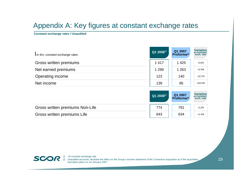### Appendix A: Key figures at constant exchange rates

**Constant exchange rates / Unaudited**

| $\mathsf{I}$ in $\epsilon$ m, constant exchange rates | Q1 2008 $^{1/2}$ | Q1 2007<br>Proforma <sup>2)</sup> | <b>Variation</b><br>at constant<br>exch. rate |
|-------------------------------------------------------|------------------|-----------------------------------|-----------------------------------------------|
| Gross written premiums                                | 1417             | 1 4 2 5                           | $-0.6%$                                       |
| Net earned premiums                                   | 1 2 9 9          | 1 2 6 3                           | $+2.9%$                                       |
| Operating income                                      | 123              | 140                               | $-12.1%$                                      |
| Net income                                            | 139              | 85                                | $+63.5%$                                      |

|                                 | Q1 2008 $^{1/2}$ | $Q1 2007$<br>Proforma <sup>2)</sup> | <b>Variation</b><br>at constant<br>exch. rate |
|---------------------------------|------------------|-------------------------------------|-----------------------------------------------|
| Gross written premiums Non-Life | 774              | 791                                 | $-2.2%$                                       |
| Gross written premiums Life     | 643              | 634                                 | $+1.4%$                                       |



*1) At constant exchange rate* **2)** *Depended accounts; illustrate the effect on the Group's income statement of the Converium acquisition as if the acquisition SCO P 2) Unaudited accounts; illustrate the effect on the Group's income statement of th had taken place on 1st January 2007*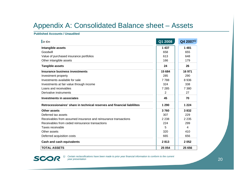### Appendix A: Consolidated Balance sheet – Assets

#### **Published Accounts / Unaudited**

| $\ln \epsilon$                                                           | Q1 2008 | Q42007 <sup>1</sup> |
|--------------------------------------------------------------------------|---------|---------------------|
| Intangible assets                                                        | 1 4 3 7 | 1481                |
| Goodwill                                                                 | 658     | 655                 |
| Value of purchased insurance portfolios                                  | 613     | 648                 |
| Other intangible assets                                                  | 166     | 179                 |
| <b>Tangible assets</b>                                                   | 24      | 26                  |
| Insurance business investments                                           | 15 684  | 16 971              |
| Investment property                                                      | 285     | 290                 |
| Investments available for sale                                           | 7788    | 8936                |
| Investments at fair value through income                                 | 324     | 338                 |
| Loans and receivables                                                    | 7 2 8 5 | 7 3 8 0             |
| Derivative instruments                                                   | 2       | 27                  |
| <b>Investments in associates</b>                                         | 45      | 70                  |
| Retrocessionaires' share in technical reserves and financial liablilites | 1 2 9 0 | 1 2 2 4             |
| Other assets                                                             | 3760    | 3832                |
| Deferred tax assets                                                      | 307     | 229                 |
| Receivables from assumed insurance and reinsurance transactions          | 2 2 3 8 | 2 2 3 5             |
| Receivables from ceded reinsurance transactions                          | 224     | 299                 |
| Taxes receivable                                                         | 5       | 4                   |
| Other assets                                                             | 320     | 410                 |
| Deferred acquisition costs                                               | 665     | 656                 |
| <b>Cash and cash equivalents</b>                                         | 2813    | 2052                |
| <b>TOTAL ASSETS</b>                                                      | 25 0 54 | 25 656              |



*1) Certain reclassifications have been made to prior year financial information to conform to the current year presentation*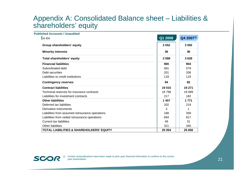#### Appendix A: Consolidated Balance sheet – Liabilities & shareholders' equity

| <b>Published Accounts / Unaudited</b>               |         |                     |
|-----------------------------------------------------|---------|---------------------|
| $\ln \epsilon$                                      | Q1 2008 | Q42007 <sup>1</sup> |
| Group shareholders' equity                          | 3552    | 3592                |
| <b>Minority interests</b>                           | 36      | 36                  |
| <b>Total shareholders' equity</b>                   | 3588    | 3628                |
| <b>Financial liabilities</b>                        | 900     | 904                 |
| Subordinated debt                                   | 581     | 579                 |
| Debt securities                                     | 201     | 206                 |
| Liabilities to credit institutions                  | 118     | 119                 |
| <b>Contingency reserves</b>                         | 94      | 82                  |
| <b>Contract liabilities</b>                         | 19015   | 19 271              |
| Technical reserves for insurance contracts          | 18798   | 19 089              |
| Liabilities for investment contracts                | 217     | 182                 |
| <b>Other liabilities</b>                            | 1457    | 1 7 7 1             |
| Deferred tax liabilities                            | 202     | 219                 |
| Derivative instruments                              | 3       | 1                   |
| Liabilities from assumed reinsurance operations     | 188     | 359                 |
| Liabilities from ceded reinsurance operations       | 694     | 817                 |
| <b>Current tax liabilities</b>                      | 49      | 31                  |
| <b>Other liabilities</b>                            | 321     | 345                 |
| <b>TOTAL LIABILITIES &amp; SHAREHOLDERS' EQUITY</b> | 25 054  | 25 656              |

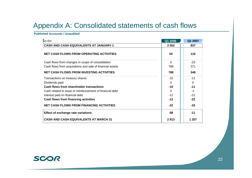### Appendix A: Consolidated statements of cash flows

#### **Published Accounts / Unaudited**

| $\mathsf{I}$ in $\epsilon$ m                              | Q1 2008  | Q1 2007  |
|-----------------------------------------------------------|----------|----------|
| <b>CASH AND CASH EQUIVALENTS AT JANUARY 1</b>             | 2052     | 837      |
| <b>NET CASH FLOWS FROM OPERATING ACTIVITIES</b>           | 53       | 116      |
| Cash flows from changes in scope of consolidation         | $\Omega$ | $-23$    |
| Cash flows from acquisitions and sale of financial assets | 788      | 371      |
| <b>NET CASH FLOWS FROM INVESTING ACTIVITIES</b>           | 788      | 348      |
| Transactions on treasury shares                           | $-10$    | $-11$    |
| Dividends paid                                            | $\Omega$ | $\Omega$ |
| Cash flows from shareholder transactions                  | $-10$    | $-11$    |
| Cash related to issue or reimbursement of financial debt  | 0        | -1       |
| Interest paid on financial debt                           | $-12$    | $-21$    |
| Cash flows from financing activities                      | $-12$    | $-22$    |
| <b>NET CASH FLOWS FROM FINANCING ACTIVITIES</b>           | $-22$    | $-33$    |
| <b>Effect of exchange rate variations</b>                 | -58      | $-11$    |
| <b>CASH AND CASH EQUIVALENTS AT MARCH 31</b>              | 2813     | 1 257    |

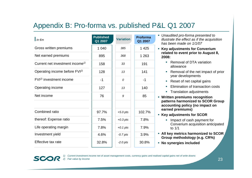# Appendix B: Pro-forma vs. published P&L Q1 2007

| $\mathsf{I}$ in $\epsilon$ m                | <b>Published</b><br>Q1 2007 | <b>Variation</b> | Proforma<br>Q1 2007 |
|---------------------------------------------|-----------------------------|------------------|---------------------|
| Gross written premiums                      | 1 040                       | 385              | 1 4 2 5             |
| Net earned premiums                         | 895                         | 368              | 1 2 6 3             |
| Current net investment income <sup>1)</sup> | 158                         | 33               | 191                 |
| Operating income before FVI <sup>2)</sup>   | 128                         | 13               | 141                 |
| $FVI2$ investment income                    | $-1$                        | 0                | $-1$                |
| Operating income                            | 127                         | 13               | 140                 |
| Net income                                  | 76                          | 9                | 85                  |
|                                             |                             |                  |                     |
| Combined ratio                              | 97.7%                       | $+5.0$ pts       | 102.7%              |
| thereof: Expense ratio                      | 7.5%                        | $+0.3$ pts       | 7.8%                |
| Life operating margin                       | 7.8%                        | $+0.1$ pts       | 7.9%                |
| Investment yield                            | 4.6%                        | $-0.7$ pts       | 3.9%                |
| Effective tax rate                          | 32.8%                       | $-2.0$ pts       | 30.8%               |

 *Unaudited pro-forma presented to illustrate the effect as if the acquisition has been made on 1/1/07*

 **Key adjustments for Converium related to event prior to August 8, 2008:**

- Removal of DTA variation allowance
- Removal of the net impact of prior year developments
- Reset of net capital gains
- п **Elimination of transaction costs**
- **Translation adjustments**
- **Written premiums recognition patterns harmonized to SCOR Group accounting policy (no impact on earned premiums)**
- **Key adjustments for SCOR** 
	- **If** Impact of cash payment for Converium acquisition anticipated to 1/1
- **All key metrics harmonized to SCOR Group methodology (e.g. CR%)**
- **No synergies included**

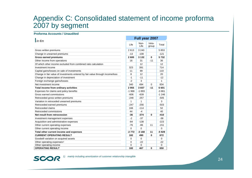#### Appendix C: Consolidated statement of income proforma 2007 by segment

#### **Proforma Accounts / Unaudited**

| $\mathsf{I}$ in $\epsilon$ m                                                  |         | Full year 2007 |                 |         |  |
|-------------------------------------------------------------------------------|---------|----------------|-----------------|---------|--|
|                                                                               | Life    | Non-<br>Life   | Intra-<br>group | Total   |  |
| Gross written premiums                                                        | 2613    | 3 2 4 0        |                 | 5853    |  |
| Change in unearned premiums                                                   | $-13$   | $-108$         |                 | $-121$  |  |
| <b>Gross earned premiums</b>                                                  | 2600    | 3 1 3 2        | $\bf{0}$        | 5732    |  |
| Other income from operations                                                  | 16      | 31             | $-11$           | 36      |  |
| Of which other income excluded from combined ratio calculation                |         | 12             |                 | 12      |  |
| Investment income                                                             | 323     | 391            |                 | 714     |  |
| Capital gains/losses on sale of investments                                   | 11      | 99             |                 | 110     |  |
| Change in fair value of investments entered by fair value through income/loss | 8       | 12             |                 | 20      |  |
| Change in depreciation of investment                                          | $-1$    | $-11$          |                 | $-12$   |  |
| Foreign exchange gains/losses                                                 | $-2$    | 3              |                 | 1       |  |
| Net investment income                                                         | 340     | 494            | 0               | 834     |  |
| Total income from ordinary activities                                         | 2955    | 3657           | $-11$           | 6601    |  |
| Expenses for claims and policy benefits                                       | $-1968$ | $-1893$        |                 | $-3861$ |  |
| Gross earned commissions                                                      | $-606$  | $-639$         |                 | $-1246$ |  |
| Retroceded gross written premiums                                             | $-248$  | $-257$         |                 | $-505$  |  |
| Variation in retroceded unearned premiums                                     | 1       | 1              |                 | 3       |  |
| Retroceded earned premiums                                                    | $-247$  | $-256$         |                 | $-503$  |  |
| Retroceded claims                                                             | 166     | $-114$         |                 | 52      |  |
| Retroceded commissions                                                        | 44      | $-4$           |                 | 40      |  |
| Net result from retrocession                                                  | $-36$   | $-374$         | 0               | $-410$  |  |
| Investment management expenses                                                | $-2$    | $-37$          |                 | $-38$   |  |
| Acquisition and administrative expenses                                       | -84     | $-138$         |                 | $-223$  |  |
| Other current operating expenses                                              | $-76$   | $-86$          | 11              | $-151$  |  |
| Other current operating income                                                | 0       | $\Omega$       |                 | 0       |  |
| Total other current income and expenses                                       | $-2772$ | $-3168$        | 11              | $-5929$ |  |
| <b>CURRENT OPERATING RESULT</b>                                               | 182     | 490            | $\bf{0}$        | 672     |  |
| Goodwill variation on acquired assets                                         | 0       | $\Omega$       |                 | 0       |  |
| Other operating expenses <sup>1)</sup>                                        | 0       | $-22$          |                 | $-22$   |  |
| Other operating income                                                        | 0       | $\Omega$       |                 | 0       |  |
| <b>OPERATING RESULT</b>                                                       | 182     | 467            | 0               | 650     |  |



*1) mainly including amortization of customer relationship intangible*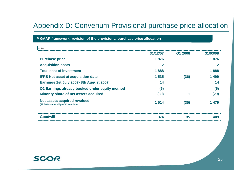### Appendix D: Converium Provisional purchase price allocation

#### **P-GAAP framework: revision of the provisional purchase price allocation**

| 31/12/07 | Q1 2008 | 31/03/08 |
|----------|---------|----------|
| 1876     |         | 1876     |
| 12       |         | 12       |
| 1888     |         | 1888     |
| 1 5 3 5  | (36)    | 1499     |
| 14       |         | 14       |
| (5)      |         | (5)      |
| (30)     |         | (29)     |
| 1514     | (35)    | 1479     |
| 374      | 35      | 409      |
|          |         |          |

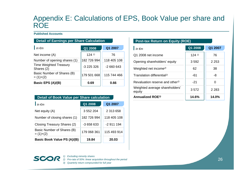#### Appendix E: Calculations of EPS, Book Value per share and ROE

#### **Published Accounts**

| <b>Detail of Earnings per Share Calculation</b> |                     |             |
|-------------------------------------------------|---------------------|-------------|
| $\ln \epsilon$ m                                | Q1 2008             | Q1 2007     |
| Net income (A)                                  | $124$ <sup>1)</sup> | 76          |
| Number of opening shares (1)                    | 182 726 994         | 118 405 108 |
| <b>Time Weighted Treasury</b><br>Shares (2)     | -3 225 326          | $-2660643$  |
| Basic Number of Shares (B)<br>$= (1)+(2)$       | 179 501 668         | 115 744 466 |
| Basic EPS (A)/(B)                               | 0.69                | 0.66        |

| <b>Detail of Book Value per Share calculation</b> |             |             |
|---------------------------------------------------|-------------|-------------|
| $\mathsf{I}$ in $\epsilon$ m                      | Q1 2008     | Q1 2007     |
| Net equity (A)                                    | 3 552 204   | 2 313 658   |
| Number of closing shares (1)                      | 182 726 994 | 118 405 108 |
| Closing Treasury Shares (2)                       | -3 658 633  | $-2911194$  |
| Basic Number of Shares (B)<br>$= (1)+(2)$         | 179 068 361 | 115 493 914 |
| Basic Book Value PS (A)/(B)                       | 19.84       | 20.03       |

#### **Post-tax Return on Equity (ROE)**

| $\mathsf{I}$ in $\epsilon$ m                | Q1 2008             | Q1 2007 |
|---------------------------------------------|---------------------|---------|
| Q1 2008 net income                          | $124$ <sup>1)</sup> | 76      |
| Opening shareholders' equity                | 3592                | 2 2 5 3 |
| Weighted net income <sup>2)</sup>           | 62                  | 38      |
| Translation differential <sup>2)</sup>      | -61                 | -8      |
| Revaluation reserve and other <sup>2)</sup> | $-21$               | U       |
| Weighted average shareholders'<br>equity    | 3572                | 2 2 8 3 |
| <b>Annualized ROE3)</b>                     | 14.6%               | 14.0%   |



*1) Excluding minority shares 2) Pro-rata of 50%: linear acquisition throughout the period 3) Quarterly return compounded for full year*

26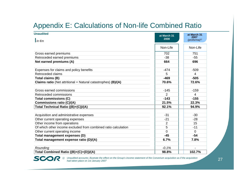## Appendix E: Calculations of Non-life Combined Ratio

| <b>Unaudited</b>                                                     | at March 31 | at March 31                        |
|----------------------------------------------------------------------|-------------|------------------------------------|
| $\mathsf{I}$ in $\epsilon$ m                                         | 2008        | 2007<br>$(proforma)$ <sup>1)</sup> |
|                                                                      | Non-Life    | Non-Life                           |
| Gross earned premiums                                                | 702         | 751                                |
| Retroceded earned premiums                                           | $-38$       | $-55$                              |
| Net earned premiums (A)                                              | 664         | 696                                |
| Expenses for claims and policy benefits                              | $-474$      | $-509$                             |
| Retroceded claims                                                    | 5           | $\overline{4}$                     |
| Total claims (B)                                                     | $-469$      | $-505$                             |
| <b>Claims ratio</b> (Net attritional + Natural catastrophes) (B)/(A) | 70.6%       | 72.6%                              |
| Gross earned commissions                                             | $-145$      | $-159$                             |
| Retroceded commissions                                               | 2           | 4                                  |
| <b>Total commissions (C)</b>                                         | $-143$      | $-155$                             |
| <b>Commissions ratio (C)/(A)</b>                                     | 21.5%       | 22.3%                              |
| Total Technical Ratio ((B)+(C))/(A)                                  | 92.1%       | 94.9%                              |
| Acquisition and administrative expenses                              | $-31$       | $-30$                              |
| Other current operating expenses                                     | $-21$       | $-28$                              |
| Other income from operations                                         | 2           | 15                                 |
| Of which other income excluded from combined ratio calculation       | 5           | $-11$                              |
| Other current operating income                                       | 0           | $\Omega$                           |
| Total management expenses (D)                                        | $-45$       | $-54$                              |
| Total management expense ratio (D)/(A)                               | 6.7%        | 7.8%                               |
| Rounding                                                             | $-0.1%$     |                                    |
| Total Combined Ratio ((B)+(C)+(D))/(A)                               | 98.8%       | 102.7%                             |



*1) Unaudited accounts; illustrate the effect on the Group's income statement of the Converium acquisition as if the acquisition had taken place on 1st January 2007*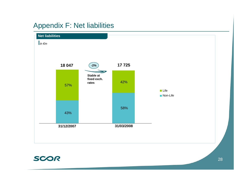# Appendix F: Net liabilities



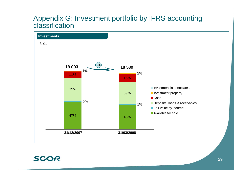#### Appendix G: Investment portfolio by IFRS accounting classification



#### SCOR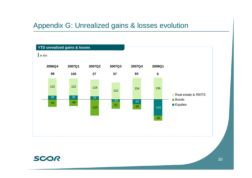#### Appendix G: Unrealized gains & losses evolution

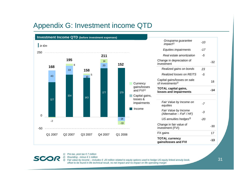## Appendix G: Investment income QTD



*1) Pre-tax, post tax € 7 million 2) Rounding - minus € 1 million*



*3) Fair value by income – includes € -20 million related to equity options used to hedge US equity linked annuity book, offset to be found in life technical result, no net impact and no impact on life operating margin*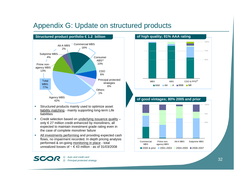### Appendix G: Update on structured products



- $\mathcal{C}$  Structured products mainly used to optimize asset liability matching - mainly supporting long-term Life liabilities
- $\mathcal{L}_{\mathcal{A}}$ • Credit selection based on underlying issuance quality – only € 27 million credit enhanced by monoliners, all expected to maintain investment grade rating even in the case of complete monoliner failure
- $\mathcal{L}_{\mathcal{A}}$  All investments performing and providing expected cash flows, no impairment recorded. In depth pricing analysis performed & on-going monitoring in place - total unrealized losses of  $\sim \epsilon$  43 million - as of 31/03/2008